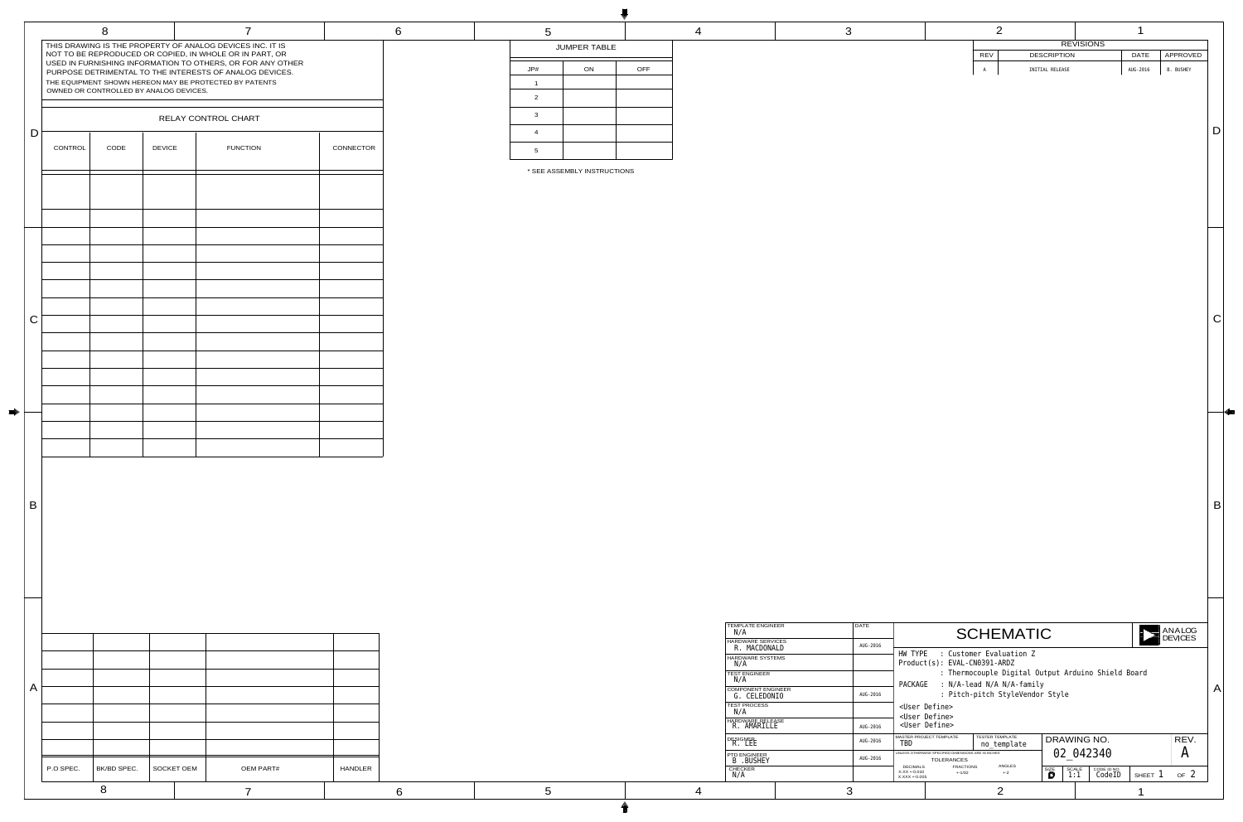|  |              |                    | <b>REVISIONS</b> |             |                  |
|--|--------------|--------------------|------------------|-------------|------------------|
|  | <b>REV</b>   | <b>DESCRIPTION</b> |                  | <b>DATE</b> | APPROVED         |
|  | $\, {\tt A}$ | INITIAL RELEASE    |                  | AUG-2016    | <b>B. BUSHEY</b> |
|  |              |                    |                  |             |                  |
|  |              |                    |                  |             |                  |
|  |              |                    |                  |             |                  |
|  |              |                    |                  |             |                  |

 $\mid$  D  $\mid$ 

| <b>TEMPLATE ENGINEER</b><br>N/A           | <b>DATE</b> | <b>ANALOG</b><br><b>SCHEMATIC</b>                                                                                          |                             |                                       |                  |                     |                       |         |                 |
|-------------------------------------------|-------------|----------------------------------------------------------------------------------------------------------------------------|-----------------------------|---------------------------------------|------------------|---------------------|-----------------------|---------|-----------------|
| <b>HARDWARE SERVICES</b><br>R. MACDONALD  | AUG-2016    | <b>DEVICES</b>                                                                                                             |                             |                                       |                  |                     |                       |         |                 |
| HARDWARE SYSTEMS<br>N/A                   |             | : Customer Evaluation Z<br>HW TYPE<br>$Product(s): EVAL-CN0391-ARDZ$<br>: Thermocouple Digital Output Arduino Shield Board |                             |                                       |                  |                     |                       |         |                 |
| <b>TEST ENGINEER</b><br>N/A               |             |                                                                                                                            |                             |                                       |                  |                     |                       |         |                 |
| <b>COMPONENT ENGINEER</b><br>G. CELEDONIO | AUG-2016    | : N/A-lead N/A N/A-family<br>PACKAGE<br>: Pitch-pitch StyleVendor Style                                                    |                             |                                       |                  |                     |                       |         |                 |
| <b>TEST PROCESS</b><br>N/A                |             | <user define=""><br/><user define=""></user></user>                                                                        |                             |                                       |                  |                     |                       |         |                 |
| HARDWARE RELEASE<br>R. AMARILLE           | AUG-2016    | <user define=""></user>                                                                                                    |                             |                                       |                  |                     |                       |         |                 |
| <b>DESIGNER</b><br>AUG-2016<br>R. LEE     |             | <b>MASTER PROJECT TEMPLATE</b><br>TBD                                                                                      |                             | <b>TESTER TEMPLATE</b><br>no template |                  | DRAWING NO.         |                       |         | REV.            |
| <b>PTD ENGINEER</b><br>B .BUSHEY          | AUG-2016    | 02 042340<br>UNLESS OTHERWISE SPECIFIED DIMENSIONS ARE IN INCHES<br><b>TOLERANCES</b>                                      |                             |                                       | $\bm{A}$         |                     |                       |         |                 |
| <b>CHECKER</b><br>$\mathrm{N}/\mathrm{A}$ |             | <b>DECIMALS</b><br>$X.XX + 0.010$<br>$X.XXX + 0.005$                                                                       | <b>FRACTIONS</b><br>$+1/32$ | <b>ANGLES</b><br>$+2$                 | <b>SIZE</b><br>D | <b>SCALE</b><br>1:1 | CODE ID NO.<br>CodeID | SHEET 1 | OF <sub>2</sub> |
|                                           | 3           |                                                                                                                            |                             | つ                                     |                  |                     |                       |         |                 |

| 5                   |    |            |  |  |  |  |  |
|---------------------|----|------------|--|--|--|--|--|
| <b>JUMPER TABLE</b> |    |            |  |  |  |  |  |
| JP#                 | ON | <b>OFF</b> |  |  |  |  |  |
| 1                   |    |            |  |  |  |  |  |
| 2                   |    |            |  |  |  |  |  |
| 3                   |    |            |  |  |  |  |  |
| $\overline{4}$      |    |            |  |  |  |  |  |
| 5                   |    |            |  |  |  |  |  |

4 3

| <b>TEMPLATE ENGINEER</b><br>N/A           | <b>DATE</b> |
|-------------------------------------------|-------------|
| <b>HARDWARE SERVICES</b><br>R. MACDONALD  | AUG-2016    |
| <b>HARDWARE SYSTEMS</b><br>N/A            |             |
| <b>TEST ENGINEER</b><br>N/A               |             |
| <b>COMPONENT ENGINEER</b><br>G. CELEDONIO | AUG-2016    |
| <b>TEST PROCESS</b><br>N/A                |             |
| <b>HARDWARE RELEASE</b><br>R. AMARILLE    | AUG-2016    |
| <b>DESIGNER</b><br>R. LEE                 | AUG-2016    |
| <b>PTD ENGINEER</b><br>B .BUSHEY          | AUG-2016    |
| <b>CHECKER</b><br>N/A                     |             |
|                                           |             |

C

 $\vert$  B

|              |           | 8           |                                        | $\overline{\mathbf{7}}$<br>THIS DRAWING IS THE PROPERTY OF ANALOG DEVICES INC. IT IS                                                                                             |           | 6 | 5                              |
|--------------|-----------|-------------|----------------------------------------|----------------------------------------------------------------------------------------------------------------------------------------------------------------------------------|-----------|---|--------------------------------|
|              |           |             |                                        | NOT TO BE REPRODUCED OR COPIED, IN WHOLE OR IN PART, OR<br>USED IN FURNISHING INFORMATION TO OTHERS, OR FOR ANY OTHER<br>PURPOSE DETRIMENTAL TO THE INTERESTS OF ANALOG DEVICES. |           |   | JP#                            |
|              |           |             | OWNED OR CONTROLLED BY ANALOG DEVICES. | THE EQUIPMENT SHOWN HEREON MAY BE PROTECTED BY PATENTS                                                                                                                           |           |   |                                |
|              |           |             |                                        |                                                                                                                                                                                  |           |   | $\overline{2}$                 |
| D            |           |             |                                        | RELAY CONTROL CHART                                                                                                                                                              |           |   | $\mathbf{3}$<br>$\overline{4}$ |
|              | CONTROL   | CODE        | <b>DEVICE</b>                          | <b>FUNCTION</b>                                                                                                                                                                  | CONNECTOR |   | $5\overline{)}$                |
|              |           |             |                                        |                                                                                                                                                                                  |           |   | * SEE A                        |
|              |           |             |                                        |                                                                                                                                                                                  |           |   |                                |
|              |           |             |                                        |                                                                                                                                                                                  |           |   |                                |
|              |           |             |                                        |                                                                                                                                                                                  |           |   |                                |
|              |           |             |                                        |                                                                                                                                                                                  |           |   |                                |
|              |           |             |                                        |                                                                                                                                                                                  |           |   |                                |
|              |           |             |                                        |                                                                                                                                                                                  |           |   |                                |
| $\mathbf C$  |           |             |                                        |                                                                                                                                                                                  |           |   |                                |
|              |           |             |                                        |                                                                                                                                                                                  |           |   |                                |
|              |           |             |                                        |                                                                                                                                                                                  |           |   |                                |
|              |           |             |                                        |                                                                                                                                                                                  |           |   |                                |
|              |           |             |                                        |                                                                                                                                                                                  |           |   |                                |
|              |           |             |                                        |                                                                                                                                                                                  |           |   |                                |
|              |           |             |                                        |                                                                                                                                                                                  |           |   |                                |
|              |           |             |                                        |                                                                                                                                                                                  |           |   |                                |
|              |           |             |                                        |                                                                                                                                                                                  |           |   |                                |
| B            |           |             |                                        |                                                                                                                                                                                  |           |   |                                |
|              |           |             |                                        |                                                                                                                                                                                  |           |   |                                |
|              |           |             |                                        |                                                                                                                                                                                  |           |   |                                |
|              |           |             |                                        |                                                                                                                                                                                  |           |   |                                |
|              |           |             |                                        |                                                                                                                                                                                  |           |   |                                |
|              |           |             |                                        |                                                                                                                                                                                  |           |   |                                |
|              |           |             |                                        |                                                                                                                                                                                  |           |   |                                |
|              |           |             |                                        |                                                                                                                                                                                  |           |   |                                |
| $\mathsf{A}$ |           |             |                                        |                                                                                                                                                                                  |           |   |                                |
|              |           |             |                                        |                                                                                                                                                                                  |           |   |                                |
|              |           |             |                                        |                                                                                                                                                                                  |           |   |                                |
|              |           |             |                                        |                                                                                                                                                                                  |           |   |                                |
|              | P.O SPEC. | BK/BD SPEC. | SOCKET OEM                             | <b>OEM PART#</b>                                                                                                                                                                 | HANDLER   |   |                                |
|              |           | 8           |                                        | $\overline{\mathbf{7}}$                                                                                                                                                          |           | 6 | 5                              |

 $\blacksquare$ 

\* SEE ASSEMBLY INSTRUCTIONS